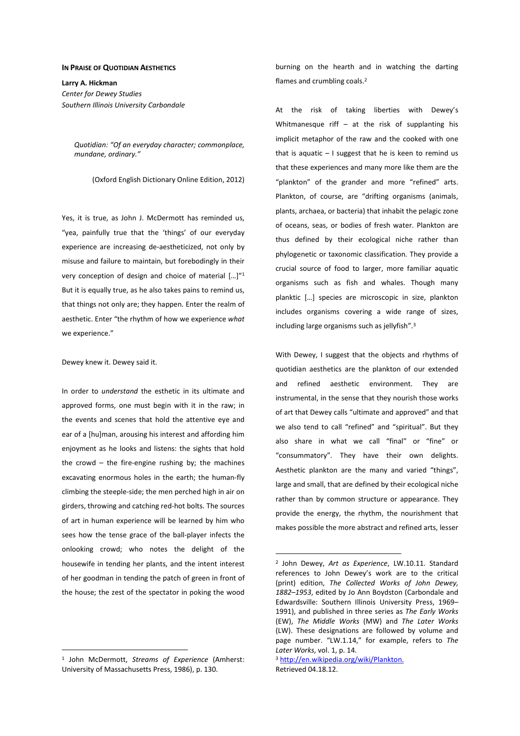## **IN PRAISE OF QUOTIDIAN AESTHETICS**

**Larry A. Hickman**  *Center for Dewey Studies Southern Illinois University Carbondale* 

> *Quotidian: "Of an everyday character; commonplace, mundane, ordinary."*

> > (Oxford English Dictionary Online Edition, 2012)

Yes, it is true, as John J. McDermott has reminded us, "yea, painfully true that the 'things' of our everyday experience are increasing de-aestheticized, not only by misuse and failure to maintain, but forebodingly in their very conception of design and choice of material […]"<sup>1</sup> But it is equally true, as he also takes pains to remind us, that things not only are; they happen. Enter the realm of aesthetic. Enter "the rhythm of how we experience *what*  we experience."

Dewey knew it. Dewey said it.

In order to *understand* the esthetic in its ultimate and approved forms, one must begin with it in the raw; in the events and scenes that hold the attentive eye and ear of a [hu]man, arousing his interest and affording him enjoyment as he looks and listens: the sights that hold the crowd  $-$  the fire-engine rushing by; the machines excavating enormous holes in the earth; the human-fly climbing the steeple-side; the men perched high in air on girders, throwing and catching red-hot bolts. The sources of art in human experience will be learned by him who sees how the tense grace of the ball-player infects the onlooking crowd; who notes the delight of the housewife in tending her plants, and the intent interest of her goodman in tending the patch of green in front of the house; the zest of the spectator in poking the wood

1 John McDermott, *Streams of Experience* (Amherst: University of Massachusetts Press, 1986), p. 130.

 $\overline{a}$ 

burning on the hearth and in watching the darting flames and crumbling coals.<sup>2</sup>

At the risk of taking liberties with Dewey's Whitmanesque riff  $-$  at the risk of supplanting his implicit metaphor of the raw and the cooked with one that is aquatic  $-1$  suggest that he is keen to remind us that these experiences and many more like them are the "plankton" of the grander and more "refined" arts. Plankton, of course, are "drifting organisms (animals, plants, archaea, or bacteria) that inhabit the pelagic zone of oceans, seas, or bodies of fresh water. Plankton are thus defined by their ecological niche rather than phylogenetic or taxonomic classification. They provide a crucial source of food to larger, more familiar aquatic organisms such as fish and whales. Though many planktic […] species are microscopic in size, plankton includes organisms covering a wide range of sizes, including large organisms such as jellyfish".<sup>3</sup>

With Dewey, I suggest that the objects and rhythms of quotidian aesthetics are the plankton of our extended and refined aesthetic environment. They are instrumental, in the sense that they nourish those works of art that Dewey calls "ultimate and approved" and that we also tend to call "refined" and "spiritual". But they also share in what we call "final" or "fine" or "consummatory". They have their own delights. Aesthetic plankton are the many and varied "things", large and small, that are defined by their ecological niche rather than by common structure or appearance. They provide the energy, the rhythm, the nourishment that makes possible the more abstract and refined arts, lesser

<sup>2</sup> John Dewey, *Art as Experience*, LW.10.11. Standard references to John Dewey's work are to the critical (print) edition, *The Collected Works of John Dewey, 1882*–*1953*, edited by Jo Ann Boydston (Carbondale and Edwardsville: Southern Illinois University Press, 1969– 1991), and published in three series as *The Early Works* (EW), *The Middle Works* (MW) and *The Later Works* (LW). These designations are followed by volume and page number. "LW.1.14," for example, refers to *The Later Works*, vol. 1, p. 14.

<sup>3</sup> http://en.wikipedia.org/wiki/Plankton. Retrieved 04.18.12.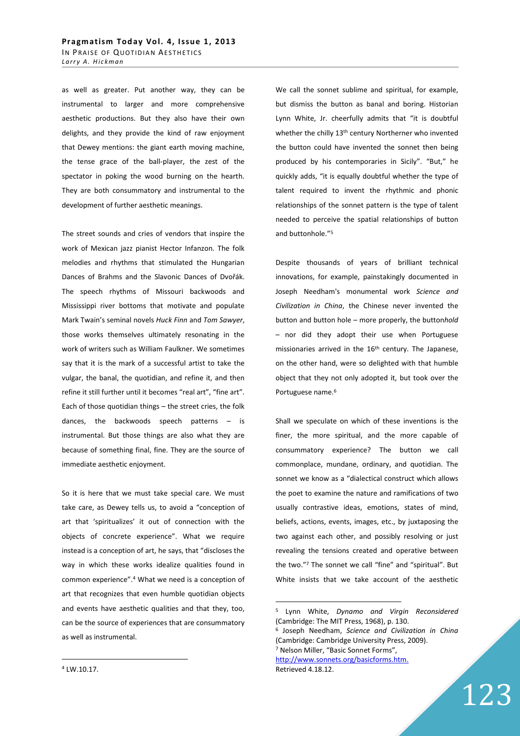as well as greater. Put another way, they can be instrumental to larger and more comprehensive aesthetic productions. But they also have their own delights, and they provide the kind of raw enjoyment that Dewey mentions: the giant earth moving machine, the tense grace of the ball-player, the zest of the spectator in poking the wood burning on the hearth. They are both consummatory and instrumental to the development of further aesthetic meanings.

The street sounds and cries of vendors that inspire the work of Mexican jazz pianist Hector Infanzon. The folk melodies and rhythms that stimulated the Hungarian Dances of Brahms and the Slavonic Dances of Dvořák. The speech rhythms of Missouri backwoods and Mississippi river bottoms that motivate and populate Mark Twain's seminal novels *Huck Finn* and *Tom Sawyer*, those works themselves ultimately resonating in the work of writers such as William Faulkner. We sometimes say that it is the mark of a successful artist to take the vulgar, the banal, the quotidian, and refine it, and then refine it still further until it becomes "real art", "fine art". Each of those quotidian things – the street cries, the folk dances, the backwoods speech patterns – is instrumental. But those things are also what they are because of something final, fine. They are the source of immediate aesthetic enjoyment.

So it is here that we must take special care. We must take care, as Dewey tells us, to avoid a "conception of art that 'spiritualizes' it out of connection with the objects of concrete experience". What we require instead is a conception of art, he says, that "discloses the way in which these works idealize qualities found in common experience".<sup>4</sup> What we need is a conception of art that recognizes that even humble quotidian objects and events have aesthetic qualities and that they, too, can be the source of experiences that are consummatory as well as instrumental.

We call the sonnet sublime and spiritual, for example, but dismiss the button as banal and boring. Historian Lynn White, Jr. cheerfully admits that "it is doubtful whether the chilly 13<sup>th</sup> century Northerner who invented the button could have invented the sonnet then being produced by his contemporaries in Sicily". "But," he quickly adds, "it is equally doubtful whether the type of talent required to invent the rhythmic and phonic relationships of the sonnet pattern is the type of talent needed to perceive the spatial relationships of button and buttonhole."<sup>5</sup>

Despite thousands of years of brilliant technical innovations, for example, painstakingly documented in Joseph Needham's monumental work *Science and Civilization in China*, the Chinese never invented the button and button hole – more properly, the button*hold* – nor did they adopt their use when Portuguese missionaries arrived in the 16<sup>th</sup> century. The Japanese, on the other hand, were so delighted with that humble object that they not only adopted it, but took over the Portuguese name.<sup>6</sup>

Shall we speculate on which of these inventions is the finer, the more spiritual, and the more capable of consummatory experience? The button we call commonplace, mundane, ordinary, and quotidian. The sonnet we know as a "dialectical construct which allows the poet to examine the nature and ramifications of two usually contrastive ideas, emotions, states of mind, beliefs, actions, events, images, etc., by juxtaposing the two against each other, and possibly resolving or just revealing the tensions created and operative between the two."<sup>7</sup> The sonnet we call "fine" and "spiritual". But White insists that we take account of the aesthetic

 $\overline{a}$ 

Retrieved 4.18.12.

6 Joseph Needham, *Science and Civilization in China* (Cambridge: Cambridge University Press, 2009). 7 Nelson Miller, "Basic Sonnet Forms", http://www.sonnets.org/basicforms.htm.

123

4 LW.10.17.

<sup>5</sup> Lynn White, *Dynamo and Virgin Reconsidered* (Cambridge: The MIT Press, 1968), p. 130.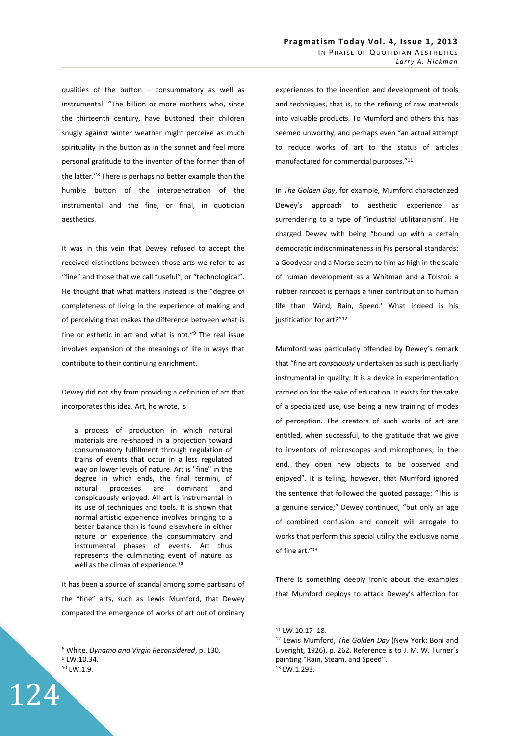qualities of the button – consummatory as well as instrumental: "The billion or more mothers who, since the thirteenth century, have buttoned their children snugly against winter weather might perceive as much spirituality in the button as in the sonnet and feel more personal gratitude to the inventor of the former than of the latter."<sup>8</sup> There is perhaps no better example than the humble button of the interpenetration of the instrumental and the fine, or final, in quotidian aesthetics.

It was in this vein that Dewey refused to accept the received distinctions between those arts we refer to as "fine" and those that we call "useful", or "technological". He thought that what matters instead is the "degree of completeness of living in the experience of making and of perceiving that makes the difference between what is fine or esthetic in art and what is not."<sup>9</sup> The real issue involves expansion of the meanings of life in ways that contribute to their continuing enrichment.

Dewey did not shy from providing a definition of art that incorporates this idea. Art, he wrote, is

a process of production in which natural materials are re-shaped in a projection toward consummatory fulfillment through regulation of trains of events that occur in a less regulated way on lower levels of nature. Art is "fine" in the degree in which ends, the final termini, of natural processes are dominant and conspicuously enjoyed. All art is instrumental in its use of techniques and tools. It is shown that normal artistic experience involves bringing to a better balance than is found elsewhere in either nature or experience the consummatory and instrumental phases of events. Art thus represents the culminating event of nature as well as the climax of experience.<sup>10</sup>

It has been a source of scandal among some partisans of the "fine" arts, such as Lewis Mumford, that Dewey compared the emergence of works of art out of ordinary

124

 $\overline{a}$ 

experiences to the invention and development of tools and techniques, that is, to the refining of raw materials into valuable products. To Mumford and others this has seemed unworthy, and perhaps even "an actual attempt to reduce works of art to the status of articles manufactured for commercial purposes."<sup>11</sup>

In *The Golden Day*, for example, Mumford characterized Dewey's approach to aesthetic experience as surrendering to a type of "industrial utilitarianism'. He charged Dewey with being "bound up with a certain democratic indiscriminateness in his personal standards: a Goodyear and a Morse seem to him as high in the scale of human development as a Whitman and a Tolstoi: a rubber raincoat is perhaps a finer contribution to human life than 'Wind, Rain, Speed.' What indeed is his justification for art?"<sup>12</sup>

Mumford was particularly offended by Dewey's remark that "fine art *consciously* undertaken as such is peculiarly instrumental in quality. It is a device in experimentation carried on for the sake of education. It exists for the sake of a specialized use, use being a new training of modes of perception. The creators of such works of art are entitled, when successful, to the gratitude that we give to inventors of microscopes and microphones; in the end, they open new objects to be observed and enjoyed". It is telling, however, that Mumford ignored the sentence that followed the quoted passage: "This is a genuine service;" Dewey continued, "but only an age of combined confusion and conceit will arrogate to works that perform this special utility the exclusive name of fine art."<sup>13</sup>

There is something deeply ironic about the examples that Mumford deploys to attack Dewey's affection for

<sup>8</sup> White, *Dynamo and Virgin Reconsidered*, p. 130. <sup>9</sup> LW.10.34. <sup>10</sup> LW.1.9.

<sup>11</sup> LW.10.17–18.

<sup>12</sup> Lewis Mumford, *The Golden Day* (New York: Boni and Liveright, 1926), p. 262. Reference is to J. M. W. Turner's painting "Rain, Steam, and Speed". 13 LW.1.293.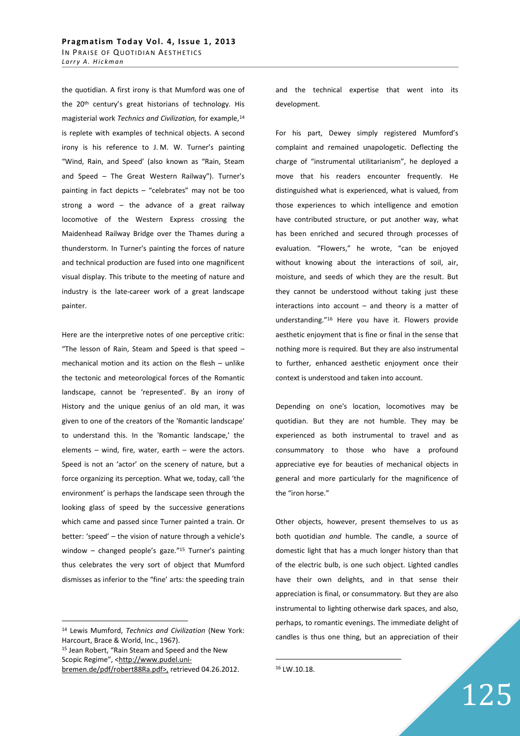the quotidian. A first irony is that Mumford was one of the 20<sup>th</sup> century's great historians of technology. His magisterial work *Technics and Civilization,* for example,<sup>14</sup> is replete with examples of technical objects. A second irony is his reference to J. M. W. Turner's painting "Wind, Rain, and Speed' (also known as "Rain, Steam and Speed – The Great Western Railway"). Turner's painting in fact depicts – "celebrates" may not be too strong a word  $-$  the advance of a great railway locomotive of the Western Express crossing the Maidenhead Railway Bridge over the Thames during a thunderstorm. In Turner's painting the forces of nature and technical production are fused into one magnificent visual display. This tribute to the meeting of nature and industry is the late-career work of a great landscape painter.

Here are the interpretive notes of one perceptive critic: "The lesson of Rain, Steam and Speed is that speed – mechanical motion and its action on the flesh – unlike the tectonic and meteorological forces of the Romantic landscape, cannot be 'represented'. By an irony of History and the unique genius of an old man, it was given to one of the creators of the 'Romantic landscape' to understand this. In the 'Romantic landscape,' the elements – wind, fire, water, earth – were the actors. Speed is not an 'actor' on the scenery of nature, but a force organizing its perception. What we, today, call 'the environment' is perhaps the landscape seen through the looking glass of speed by the successive generations which came and passed since Turner painted a train. Or better: 'speed' – the vision of nature through a vehicle's window – changed people's gaze."<sup>15</sup> Turner's painting thus celebrates the very sort of object that Mumford dismisses as inferior to the "fine' arts: the speeding train

 $\overline{a}$ 

and the technical expertise that went into its development.

For his part, Dewey simply registered Mumford's complaint and remained unapologetic. Deflecting the charge of "instrumental utilitarianism", he deployed a move that his readers encounter frequently. He distinguished what is experienced, what is valued, from those experiences to which intelligence and emotion have contributed structure, or put another way, what has been enriched and secured through processes of evaluation. "Flowers," he wrote, "can be enjoyed without knowing about the interactions of soil, air, moisture, and seeds of which they are the result. But they cannot be understood without taking just these interactions into account  $-$  and theory is a matter of understanding."<sup>16</sup> Here you have it. Flowers provide aesthetic enjoyment that is fine or final in the sense that nothing more is required. But they are also instrumental to further, enhanced aesthetic enjoyment once their context is understood and taken into account.

Depending on one's location, locomotives may be quotidian. But they are not humble. They may be experienced as both instrumental to travel and as consummatory to those who have a profound appreciative eye for beauties of mechanical objects in general and more particularly for the magnificence of the "iron horse."

Other objects, however, present themselves to us as both quotidian *and* humble. The candle, a source of domestic light that has a much longer history than that of the electric bulb, is one such object. Lighted candles have their own delights, and in that sense their appreciation is final, or consummatory. But they are also instrumental to lighting otherwise dark spaces, and also, perhaps, to romantic evenings. The immediate delight of candles is thus one thing, but an appreciation of their

<sup>14</sup> Lewis Mumford, *Technics and Civilization* (New York: Harcourt, Brace & World, Inc., 1967). <sup>15</sup> Jean Robert, "Rain Steam and Speed and the New Scopic Regime", <http://www.pudel.uni-

bremen.de/pdf/robert88Ra.pdf>, retrieved 04.26.2012.

<sup>16</sup> LW.10.18.